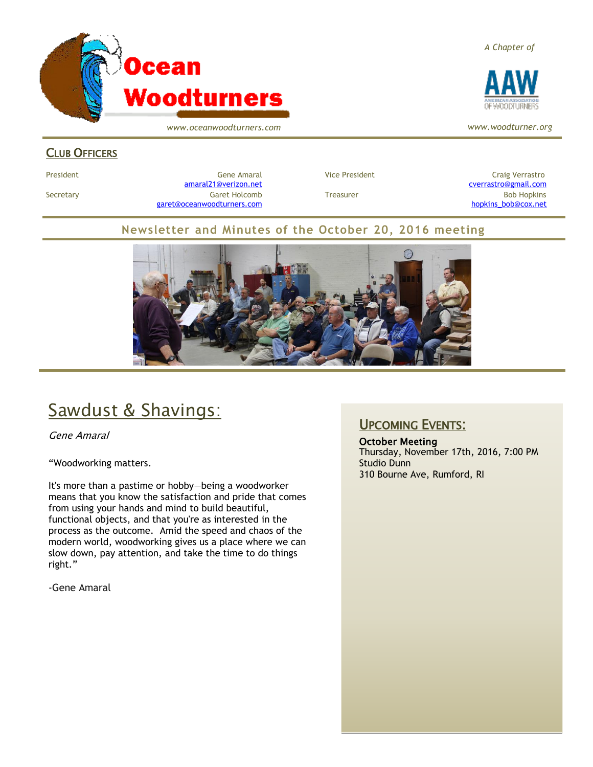

*www.oceanwoodturners.com*

### *A Chapter of*



*www.woodturner.org*

### CLUB OFFICERS

President Craig Verrastro Cene Amaral Cene Amaral Vice President Craig Verrastro Craig Verrastro [amaral21@verizon.net](mailto:amaral21@verizon.net) [cverrastro@gmail.com](mailto:cverrastro@gmail.com) Secretary Garet Holcomb Treasurer Bob Hopkins Bob Hopkins (Bob Hopkins Garet Holcomb [garet@oceanwoodturners.com](mailto:garet@oceanwoodturners.com) and the state of the state of the state of the state of the state of the state of the state of the state of the state of the state of the state of the state of the state of the state of the state

### **Newsletter and Minutes of the October 20, 2016 meeting**



# Sawdust & Shavings:

Gene Amaral

"Woodworking matters.

It's more than a pastime or hobby—being a woodworker means that you know the satisfaction and pride that comes from using your hands and mind to build beautiful, functional objects, and that you're as interested in the process as the outcome. Amid the speed and chaos of the modern world, woodworking gives us a place where we can slow down, pay attention, and take the time to do things right."

-Gene Amaral

## UPCOMING EVENTS:

October Meeting Thursday, November 17th, 2016, 7:00 PM Studio Dunn 310 Bourne Ave, Rumford, RI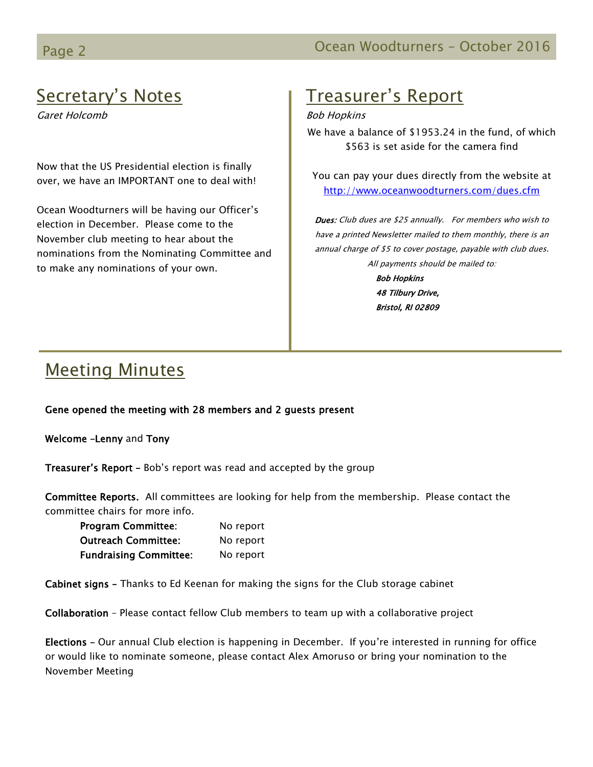# Page 2 Contract Contract Contract Contract Contract Contract Contract Contract Contract Contract Contract Contract Contract Contract Contract Contract Contract Contract Contract Contract Contract Contract Contract Contract

# Secretary's Notes

Garet Holcomb

Now that the US Presidential election is finally over, we have an IMPORTANT one to deal with!

Ocean Woodturners will be having our Officer's election in December. Please come to the November club meeting to hear about the nominations from the Nominating Committee and to make any nominations of your own.

# Treasurer's Report

### Bob Hopkins

We have a balance of \$1953.24 in the fund, of which \$563 is set aside for the camera find

You can pay your dues directly from the website at <http://www.oceanwoodturners.com/dues.cfm>

Dues: Club dues are \$25 annually. For members who wish to have a printed Newsletter mailed to them monthly, there is an annual charge of \$5 to cover postage, payable with club dues. All payments should be mailed to:

> Bob Hopkins 48 Tilbury Drive, Bristol, RI 02809

## Meeting Minutes

### Gene opened the meeting with 28 members and 2 guests present

Welcome –Lenny and Tony

Treasurer's Report - Bob's report was read and accepted by the group

Committee Reports. All committees are looking for help from the membership. Please contact the committee chairs for more info.

| <b>Program Committee:</b>     | No report |
|-------------------------------|-----------|
| Outreach Committee:           | No report |
| <b>Fundraising Committee:</b> | No report |

Cabinet signs – Thanks to Ed Keenan for making the signs for the Club storage cabinet

Collaboration – Please contact fellow Club members to team up with a collaborative project

Elections – Our annual Club election is happening in December. If you're interested in running for office or would like to nominate someone, please contact Alex Amoruso or bring your nomination to the November Meeting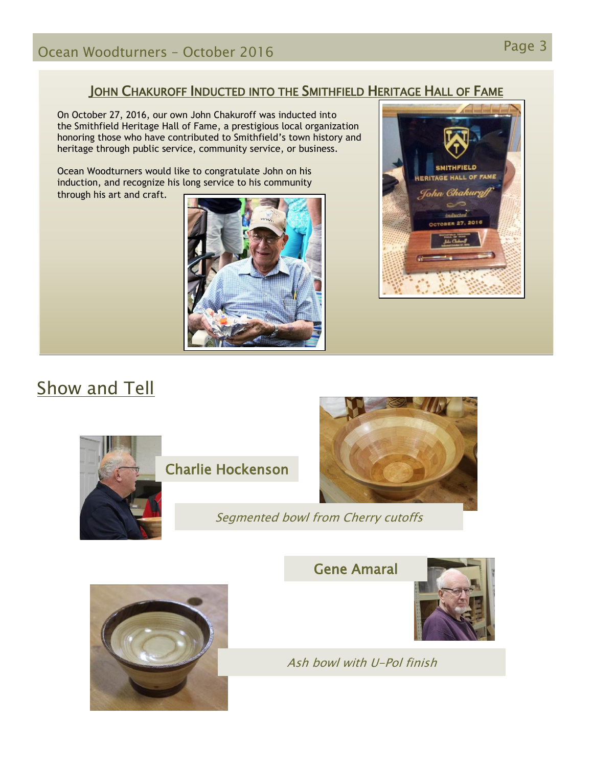## JOHN CHAKUROFF INDUCTED INTO THE SMITHFIELD HERITAGE HALL OF FAME

On October 27, 2016, our own John Chakuroff was inducted into the Smithfield Heritage Hall of Fame, a prestigious local organization honoring those who have contributed to Smithfield's town history and heritage through public service, community service, or business.

Ocean Woodturners would like to congratulate John on his induction, and recognize his long service to his community through his art and craft.





# Show and Tell



Charlie Hockenson



Segmented bowl from Cherry cutoffs





Ash bowl with U-Pol finish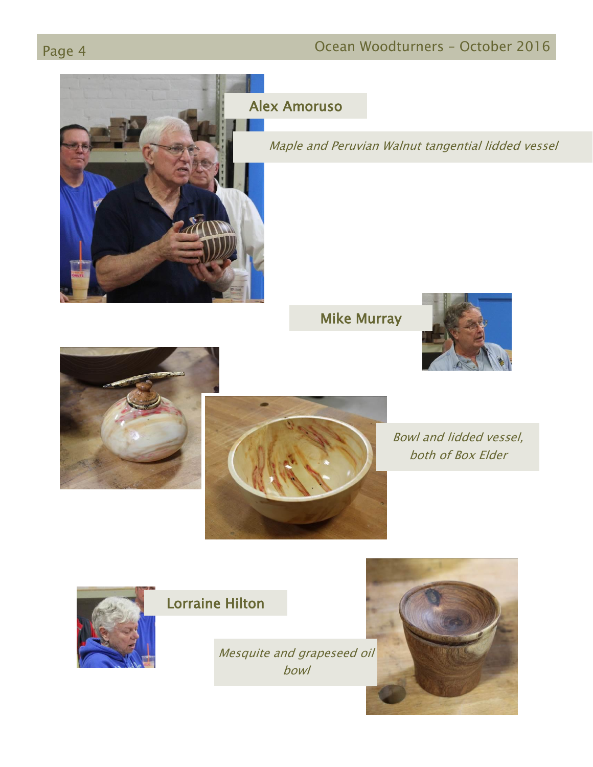# Page 4 **Ocean Woodturners – October 2016**



Alex Amoruso

Maple and Peruvian Walnut tangential lidded vessel

Mike Murray







Bowl and lidded vessel, both of Box Elder



## Lorraine Hilton

Mesquite and grapeseed oil bowl

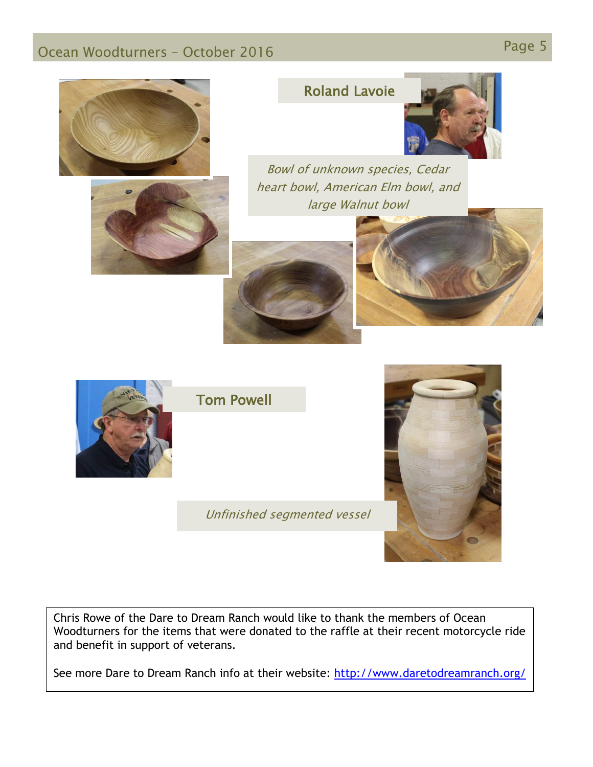# Page 5 Ocean Woodturners – October <sup>2016</sup>





## Roland Lavoie



Bowl of unknown species, Cedar heart bowl, American Elm bowl, and large Walnut bowl







Tom Powell

Unfinished segmented vessel



Chris Rowe of the Dare to Dream Ranch would like to thank the members of Ocean Woodturners for the items that were donated to the raffle at their recent motorcycle ride and benefit in support of veterans.

See more Dare to Dream Ranch info at their website:<http://www.daretodreamranch.org/>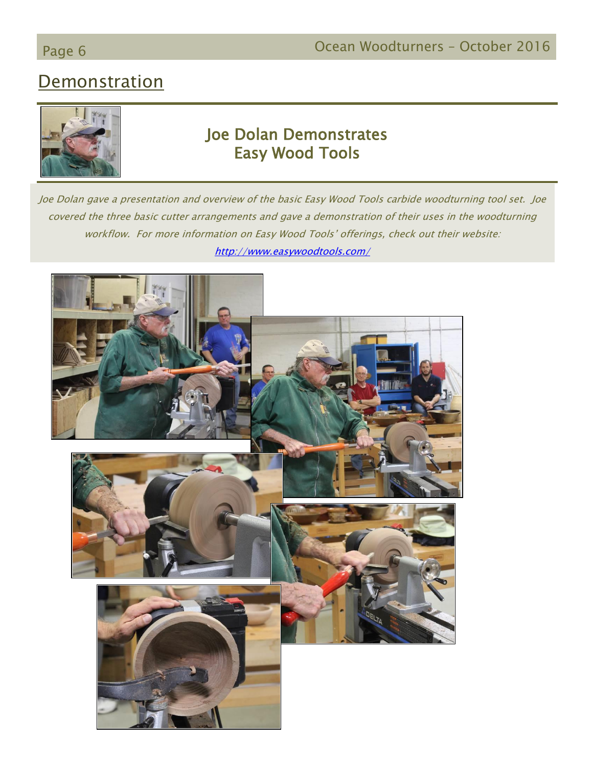# Page 6 **Detail Controller Controller Controller Controller Controller Controller Controller Controller Controller Controller Controller Controller Controller Controller Controller Controller Controller Controller Controlle**

## **Demonstration**



## Joe Dolan Demonstrates Easy Wood Tools

Joe Dolan gave a presentation and overview of the basic Easy Wood Tools carbide woodturning tool set. Joe covered the three basic cutter arrangements and gave a demonstration of their uses in the woodturning workflow. For more information on Easy Wood Tools' offerings, check out their website: <http://www.easywoodtools.com/>